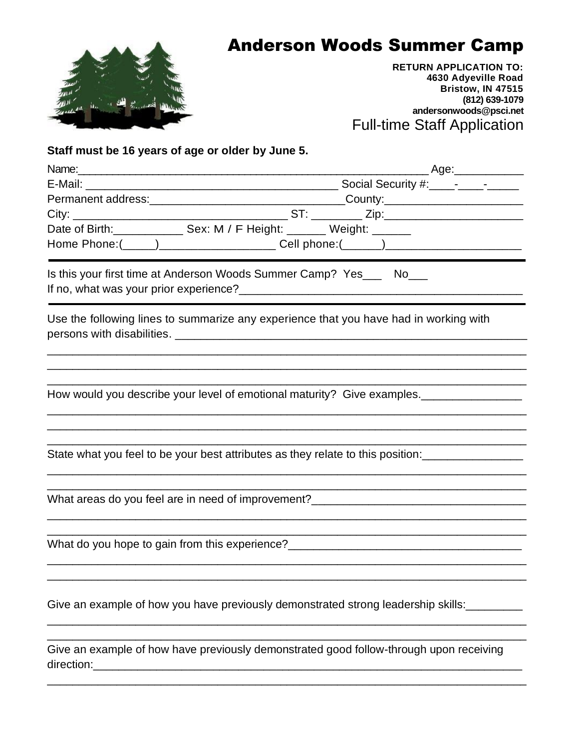## Anderson Woods Summer Camp

**RETURN APPLICATION TO: 4630 Adyeville Road Bristow, IN 47515 (812) 639-1079 andersonwoods@psci.net** Full-time Staff Application

## **Staff must be 16 years of age or older by June 5.**

| Age:_____________                                                                |
|----------------------------------------------------------------------------------|
|                                                                                  |
| _County:__________________________                                               |
|                                                                                  |
| Date of Birth: _______________ Sex: M / F Height: _______ Weight: _______        |
| Home Phone:(_____)_____________________Cell phone:(______)______________________ |
|                                                                                  |

Is this your first time at Anderson Woods Summer Camp? Yes\_\_\_ No\_\_\_ If no, what was your prior experience?\_\_\_\_\_\_\_\_\_\_\_\_\_\_\_\_\_\_\_\_\_\_\_\_\_\_\_\_\_\_\_\_\_\_\_\_\_\_\_\_\_\_\_\_\_

Use the following lines to summarize any experience that you have had in working with persons with disabilities. **Example 20**  $\blacksquare$ 

\_\_\_\_\_\_\_\_\_\_\_\_\_\_\_\_\_\_\_\_\_\_\_\_\_\_\_\_\_\_\_\_\_\_\_\_\_\_\_\_\_\_\_\_\_\_\_\_\_\_\_\_\_\_\_\_\_\_\_\_\_\_\_\_\_\_\_\_\_\_\_\_\_\_\_\_ \_\_\_\_\_\_\_\_\_\_\_\_\_\_\_\_\_\_\_\_\_\_\_\_\_\_\_\_\_\_\_\_\_\_\_\_\_\_\_\_\_\_\_\_\_\_\_\_\_\_\_\_\_\_\_\_\_\_\_\_\_\_\_\_\_\_\_\_\_\_\_\_\_\_\_\_ \_\_\_\_\_\_\_\_\_\_\_\_\_\_\_\_\_\_\_\_\_\_\_\_\_\_\_\_\_\_\_\_\_\_\_\_\_\_\_\_\_\_\_\_\_\_\_\_\_\_\_\_\_\_\_\_\_\_\_\_\_\_\_\_\_\_\_\_\_\_\_\_\_\_\_\_

\_\_\_\_\_\_\_\_\_\_\_\_\_\_\_\_\_\_\_\_\_\_\_\_\_\_\_\_\_\_\_\_\_\_\_\_\_\_\_\_\_\_\_\_\_\_\_\_\_\_\_\_\_\_\_\_\_\_\_\_\_\_\_\_\_\_\_\_\_\_\_\_\_\_\_\_ \_\_\_\_\_\_\_\_\_\_\_\_\_\_\_\_\_\_\_\_\_\_\_\_\_\_\_\_\_\_\_\_\_\_\_\_\_\_\_\_\_\_\_\_\_\_\_\_\_\_\_\_\_\_\_\_\_\_\_\_\_\_\_\_\_\_\_\_\_\_\_\_\_\_\_\_ \_\_\_\_\_\_\_\_\_\_\_\_\_\_\_\_\_\_\_\_\_\_\_\_\_\_\_\_\_\_\_\_\_\_\_\_\_\_\_\_\_\_\_\_\_\_\_\_\_\_\_\_\_\_\_\_\_\_\_\_\_\_\_\_\_\_\_\_\_\_\_\_\_\_\_\_

\_\_\_\_\_\_\_\_\_\_\_\_\_\_\_\_\_\_\_\_\_\_\_\_\_\_\_\_\_\_\_\_\_\_\_\_\_\_\_\_\_\_\_\_\_\_\_\_\_\_\_\_\_\_\_\_\_\_\_\_\_\_\_\_\_\_\_\_\_\_\_\_\_\_\_\_ \_\_\_\_\_\_\_\_\_\_\_\_\_\_\_\_\_\_\_\_\_\_\_\_\_\_\_\_\_\_\_\_\_\_\_\_\_\_\_\_\_\_\_\_\_\_\_\_\_\_\_\_\_\_\_\_\_\_\_\_\_\_\_\_\_\_\_\_\_\_\_\_\_\_\_\_

\_\_\_\_\_\_\_\_\_\_\_\_\_\_\_\_\_\_\_\_\_\_\_\_\_\_\_\_\_\_\_\_\_\_\_\_\_\_\_\_\_\_\_\_\_\_\_\_\_\_\_\_\_\_\_\_\_\_\_\_\_\_\_\_\_\_\_\_\_\_\_\_\_\_\_\_ \_\_\_\_\_\_\_\_\_\_\_\_\_\_\_\_\_\_\_\_\_\_\_\_\_\_\_\_\_\_\_\_\_\_\_\_\_\_\_\_\_\_\_\_\_\_\_\_\_\_\_\_\_\_\_\_\_\_\_\_\_\_\_\_\_\_\_\_\_\_\_\_\_\_\_\_

\_\_\_\_\_\_\_\_\_\_\_\_\_\_\_\_\_\_\_\_\_\_\_\_\_\_\_\_\_\_\_\_\_\_\_\_\_\_\_\_\_\_\_\_\_\_\_\_\_\_\_\_\_\_\_\_\_\_\_\_\_\_\_\_\_\_\_\_\_\_\_\_\_\_\_\_ \_\_\_\_\_\_\_\_\_\_\_\_\_\_\_\_\_\_\_\_\_\_\_\_\_\_\_\_\_\_\_\_\_\_\_\_\_\_\_\_\_\_\_\_\_\_\_\_\_\_\_\_\_\_\_\_\_\_\_\_\_\_\_\_\_\_\_\_\_\_\_\_\_\_\_\_

\_\_\_\_\_\_\_\_\_\_\_\_\_\_\_\_\_\_\_\_\_\_\_\_\_\_\_\_\_\_\_\_\_\_\_\_\_\_\_\_\_\_\_\_\_\_\_\_\_\_\_\_\_\_\_\_\_\_\_\_\_\_\_\_\_\_\_\_\_\_\_\_\_\_\_\_ \_\_\_\_\_\_\_\_\_\_\_\_\_\_\_\_\_\_\_\_\_\_\_\_\_\_\_\_\_\_\_\_\_\_\_\_\_\_\_\_\_\_\_\_\_\_\_\_\_\_\_\_\_\_\_\_\_\_\_\_\_\_\_\_\_\_\_\_\_\_\_\_\_\_\_\_

\_\_\_\_\_\_\_\_\_\_\_\_\_\_\_\_\_\_\_\_\_\_\_\_\_\_\_\_\_\_\_\_\_\_\_\_\_\_\_\_\_\_\_\_\_\_\_\_\_\_\_\_\_\_\_\_\_\_\_\_\_\_\_\_\_\_\_\_\_\_\_\_\_\_\_\_

How would you describe your level of emotional maturity? Give examples.

State what you feel to be your best attributes as they relate to this position:

What areas do you feel are in need of improvement?

What do you hope to gain from this experience?\_\_\_\_\_\_\_\_\_\_\_\_\_\_\_\_\_\_\_\_\_\_\_\_\_\_\_\_\_\_\_\_\_\_

Give an example of how you have previously demonstrated strong leadership skills:

Give an example of how have previously demonstrated good follow-through upon receiving direction: where  $\overline{a}$  is the set of  $\overline{a}$  is the set of  $\overline{a}$  is the set of  $\overline{a}$  is the set of  $\overline{a}$  is the set of  $\overline{a}$  is the set of  $\overline{a}$  is the set of  $\overline{a}$  is the set of  $\overline{a}$  is the set o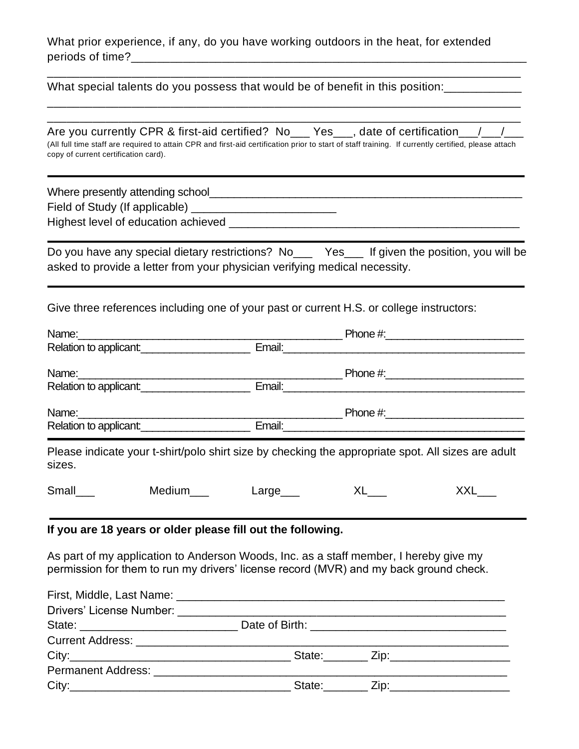What prior experience, if any, do you have working outdoors in the heat, for extended periods of time?\_\_\_\_\_\_\_\_\_\_\_\_\_\_\_\_\_\_\_\_\_\_\_\_\_\_\_\_\_\_\_\_\_\_\_\_\_\_\_\_\_\_\_\_\_\_\_\_\_\_\_\_\_\_\_\_\_\_\_\_\_

\_\_\_\_\_\_\_\_\_\_\_\_\_\_\_\_\_\_\_\_\_\_\_\_\_\_\_\_\_\_\_\_\_\_\_\_\_\_\_\_\_\_\_\_\_\_\_\_\_\_\_\_\_\_\_\_\_\_\_\_\_\_\_\_\_\_\_\_\_\_\_\_\_

What special talents do you possess that would be of benefit in this position:\_\_\_\_\_\_\_\_\_\_\_\_

| copy of current certification card). |        |                                                                            |                                                                                                                                                                                | Are you currently CPR & first-aid certified? No___ Yes___, date of certification__/__/__<br>(All full time staff are required to attain CPR and first-aid certification prior to start of staff training. If currently certified, please attach |
|--------------------------------------|--------|----------------------------------------------------------------------------|--------------------------------------------------------------------------------------------------------------------------------------------------------------------------------|-------------------------------------------------------------------------------------------------------------------------------------------------------------------------------------------------------------------------------------------------|
|                                      |        |                                                                            |                                                                                                                                                                                |                                                                                                                                                                                                                                                 |
|                                      |        | asked to provide a letter from your physician verifying medical necessity. |                                                                                                                                                                                | Do you have any special dietary restrictions? No___ Yes__ If given the position, you will be                                                                                                                                                    |
|                                      |        |                                                                            | Give three references including one of your past or current H.S. or college instructors:                                                                                       |                                                                                                                                                                                                                                                 |
|                                      |        |                                                                            |                                                                                                                                                                                |                                                                                                                                                                                                                                                 |
|                                      |        |                                                                            |                                                                                                                                                                                | Name: Phone #: Phone #: Phone #: Phone #: Phone #: Phone #: Relation to applicant:                                                                                                                                                              |
|                                      |        |                                                                            |                                                                                                                                                                                | Name: Phone #: Phone #: Phone #: Phone #: Phone #: Phone #: Relation to applicant:                                                                                                                                                              |
|                                      |        |                                                                            |                                                                                                                                                                                |                                                                                                                                                                                                                                                 |
| Name: $\frac{1}{2}$                  |        |                                                                            |                                                                                                                                                                                |                                                                                                                                                                                                                                                 |
|                                      |        |                                                                            |                                                                                                                                                                                |                                                                                                                                                                                                                                                 |
| sizes.                               |        |                                                                            |                                                                                                                                                                                | Please indicate your t-shirt/polo shirt size by checking the appropriate spot. All sizes are adult                                                                                                                                              |
| Small                                | Medium | Large                                                                      | XL —                                                                                                                                                                           | XXL                                                                                                                                                                                                                                             |
|                                      |        | If you are 18 years or older please fill out the following.                |                                                                                                                                                                                |                                                                                                                                                                                                                                                 |
|                                      |        |                                                                            | As part of my application to Anderson Woods, Inc. as a staff member, I hereby give my<br>permission for them to run my drivers' license record (MVR) and my back ground check. |                                                                                                                                                                                                                                                 |
|                                      |        |                                                                            |                                                                                                                                                                                |                                                                                                                                                                                                                                                 |
|                                      |        |                                                                            |                                                                                                                                                                                |                                                                                                                                                                                                                                                 |
|                                      |        |                                                                            |                                                                                                                                                                                |                                                                                                                                                                                                                                                 |
|                                      |        |                                                                            |                                                                                                                                                                                |                                                                                                                                                                                                                                                 |
|                                      |        |                                                                            |                                                                                                                                                                                |                                                                                                                                                                                                                                                 |

| $Paramanant \Delta$<br>------ |                          |  |
|-------------------------------|--------------------------|--|
| City                          | $\overline{\phantom{a}}$ |  |